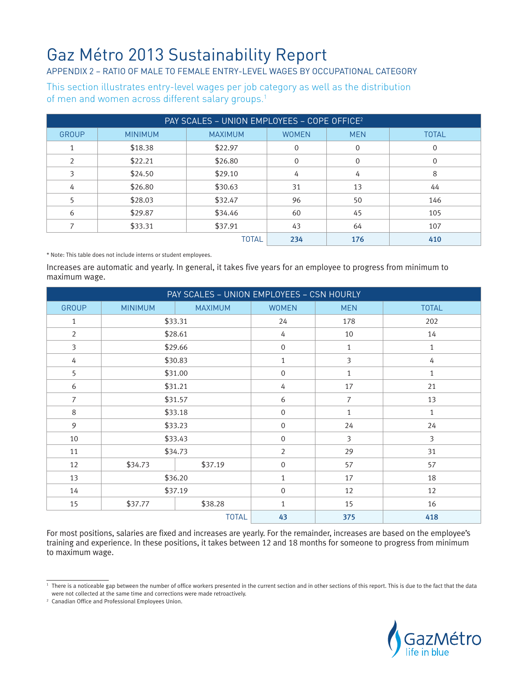## Gaz Métro 2013 Sustainability Report

## APPENDIX 2 – Ratio of male to female entry-level wages by occupational category

This section illustrates entry-level wages per job category as well as the distribution of men and women across different salary groups.<sup>1</sup>

| PAY SCALES - UNION EMPLOYEES - COPE OFFICE <sup>2</sup> |                |                |              |             |              |  |
|---------------------------------------------------------|----------------|----------------|--------------|-------------|--------------|--|
| <b>GROUP</b>                                            | <b>MINIMUM</b> | <b>MAXIMUM</b> | <b>WOMEN</b> | <b>MEN</b>  | <b>TOTAL</b> |  |
|                                                         | \$18.38        | \$22.97        | $\Omega$     | $\mathbf 0$ | 0            |  |
| 2                                                       | \$22.21        | \$26.80        | 0            | 0           | $\Omega$     |  |
| 3                                                       | \$24.50        | \$29.10        | 4            | 4           | 8            |  |
| 4                                                       | \$26.80        | \$30.63        | 31           | 13          | 44           |  |
| 5                                                       | \$28.03        | \$32.47        | 96           | 50          | 146          |  |
| 6                                                       | \$29.87        | \$34.46        | 60           | 45          | 105          |  |
|                                                         | \$33.31        | \$37.91        | 43           | 64          | 107          |  |
| <b>TOTAL</b>                                            |                |                | 234          | 176         | 410          |  |

\* Note: This table does not include interns or student employees.

Increases are automatic and yearly. In general, it takes five years for an employee to progress from minimum to maximum wage.

| PAY SCALES - UNION EMPLOYEES - CSN HOURLY |                |                |                  |                |                |  |
|-------------------------------------------|----------------|----------------|------------------|----------------|----------------|--|
| <b>GROUP</b>                              | <b>MINIMUM</b> | <b>MAXIMUM</b> | <b>WOMEN</b>     | <b>MEN</b>     | <b>TOTAL</b>   |  |
| $\mathbf{1}$                              | \$33.31        |                | 24               | 178            | 202            |  |
| $\overline{2}$                            | \$28.61        |                | 4                | 10             | 14             |  |
| $\overline{3}$                            | \$29.66        |                | $\mathbf 0$      | 1              | $\mathbf{1}$   |  |
| 4                                         |                | \$30.83        |                  | 3              | $\sqrt{4}$     |  |
| 5                                         | \$31.00        |                | $\boldsymbol{0}$ | 1              | $\mathbf{1}$   |  |
| 6                                         | \$31.21        |                | 4                | 17             | 21             |  |
| $\overline{7}$                            | \$31.57        |                | 6                | $\overline{7}$ | 13             |  |
| 8                                         | \$33.18        |                | $\overline{0}$   | $\mathbf{1}$   | $\mathbf{1}$   |  |
| 9                                         | \$33.23        |                | $\overline{0}$   | 24             | 24             |  |
| 10                                        | \$33.43        |                | $\overline{0}$   | $\overline{3}$ | $\overline{3}$ |  |
| 11                                        | \$34.73        |                | $\overline{2}$   | 29             | 31             |  |
| 12                                        | \$34.73        | \$37.19        | $\boldsymbol{0}$ | 57             | 57             |  |
| 13                                        | \$36.20        |                | $\mathbf{1}$     | 17             | 18             |  |
| 14                                        | \$37.19        |                | $\mathbf{0}$     | 12             | 12             |  |
| 15                                        | \$37.77        | \$38.28        | $\mathbf{1}$     | 15             | 16             |  |
| <b>TOTAL</b>                              |                |                | 43               | 375            | 418            |  |

For most positions, salaries are fixed and increases are yearly. For the remainder, increases are based on the employee's training and experience. In these positions, it takes between 12 and 18 months for someone to progress from minimum to maximum wage.



 $^{\rm 1}$  There is a noticeable gap between the number of office workers presented in the current section and in other sections of this report. This is due to the fact that the data were not collected at the same time and corrections were made retroactively.

<sup>2</sup> Canadian Office and Professional Employees Union.